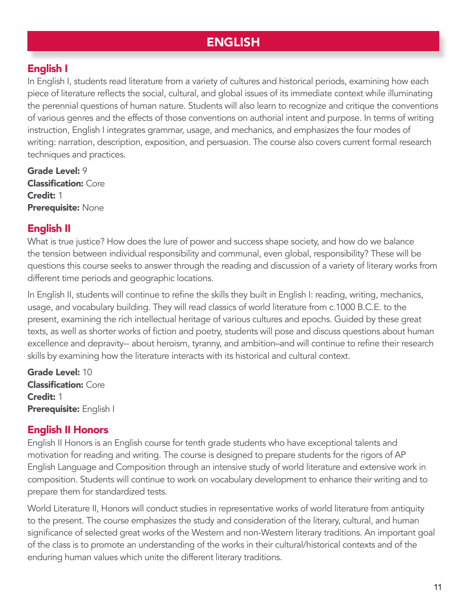# ENGLISH

#### English I

In English I, students read literature from a variety of cultures and historical periods, examining how each piece of literature reflects the social, cultural, and global issues of its immediate context while illuminating the perennial questions of human nature. Students will also learn to recognize and critique the conventions of various genres and the effects of those conventions on authorial intent and purpose. In terms of writing instruction, English I integrates grammar, usage, and mechanics, and emphasizes the four modes of writing: narration, description, exposition, and persuasion. The course also covers current formal research techniques and practices.

Grade Level: 9 Classification: Core Credit: 1 Prerequisite: None

#### English II

What is true justice? How does the lure of power and success shape society, and how do we balance the tension between individual responsibility and communal, even global, responsibility? These will be questions this course seeks to answer through the reading and discussion of a variety of literary works from different time periods and geographic locations.

In English II, students will continue to refine the skills they built in English I: reading, writing, mechanics, usage, and vocabulary building. They will read classics of world literature from c.1000 B.C.E. to the present, examining the rich intellectual heritage of various cultures and epochs. Guided by these great texts, as well as shorter works of fiction and poetry, students will pose and discuss questions about human excellence and depravity-- about heroism, tyranny, and ambition–and will continue to refine their research skills by examining how the literature interacts with its historical and cultural context.

Grade Level: 10 Classification: Core Credit: 1 Prerequisite: English I

#### English II Honors

English II Honors is an English course for tenth grade students who have exceptional talents and motivation for reading and writing. The course is designed to prepare students for the rigors of AP English Language and Composition through an intensive study of world literature and extensive work in composition. Students will continue to work on vocabulary development to enhance their writing and to prepare them for standardized tests.

World Literature II, Honors will conduct studies in representative works of world literature from antiquity to the present. The course emphasizes the study and consideration of the literary, cultural, and human significance of selected great works of the Western and non-Western literary traditions. An important goal of the class is to promote an understanding of the works in their cultural/historical contexts and of the enduring human values which unite the different literary traditions.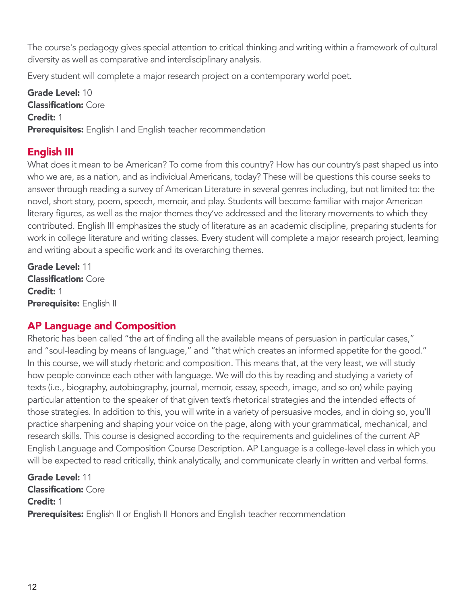The course's pedagogy gives special attention to critical thinking and writing within a framework of cultural diversity as well as comparative and interdisciplinary analysis.

Every student will complete a major research project on a contemporary world poet.

Grade Level: 10 Classification: Core Credit: 1 **Prerequisites:** English I and English teacher recommendation

## English III

What does it mean to be American? To come from this country? How has our country's past shaped us into who we are, as a nation, and as individual Americans, today? These will be questions this course seeks to answer through reading a survey of American Literature in several genres including, but not limited to: the novel, short story, poem, speech, memoir, and play. Students will become familiar with major American literary figures, as well as the major themes they've addressed and the literary movements to which they contributed. English III emphasizes the study of literature as an academic discipline, preparing students for work in college literature and writing classes. Every student will complete a major research project, learning and writing about a specific work and its overarching themes.

Grade Level: 11 Classification: Core Credit: 1 Prerequisite: English II

## AP Language and Composition

Rhetoric has been called "the art of finding all the available means of persuasion in particular cases," and "soul-leading by means of language," and "that which creates an informed appetite for the good." In this course, we will study rhetoric and composition. This means that, at the very least, we will study how people convince each other with language. We will do this by reading and studying a variety of texts (i.e., biography, autobiography, journal, memoir, essay, speech, image, and so on) while paying particular attention to the speaker of that given text's rhetorical strategies and the intended effects of those strategies. In addition to this, you will write in a variety of persuasive modes, and in doing so, you'll practice sharpening and shaping your voice on the page, along with your grammatical, mechanical, and research skills. This course is designed according to the requirements and guidelines of the current AP English Language and Composition Course Description. AP Language is a college-level class in which you will be expected to read critically, think analytically, and communicate clearly in written and verbal forms.

Grade Level: 11 Classification: Core Credit: 1 Prerequisites: English II or English II Honors and English teacher recommendation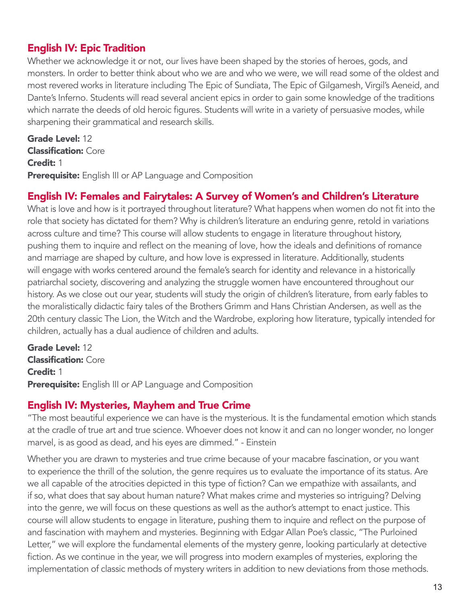#### English IV: Epic Tradition

Whether we acknowledge it or not, our lives have been shaped by the stories of heroes, gods, and monsters. In order to better think about who we are and who we were, we will read some of the oldest and most revered works in literature including The Epic of Sundiata, The Epic of Gilgamesh, Virgil's Aeneid, and Dante's Inferno. Students will read several ancient epics in order to gain some knowledge of the traditions which narrate the deeds of old heroic figures. Students will write in a variety of persuasive modes, while sharpening their grammatical and research skills.

Grade Level: 12 Classification: Core Credit: 1 Prerequisite: English III or AP Language and Composition

#### English IV: Females and Fairytales: A Survey of Women's and Children's Literature

What is love and how is it portrayed throughout literature? What happens when women do not fit into the role that society has dictated for them? Why is children's literature an enduring genre, retold in variations across culture and time? This course will allow students to engage in literature throughout history, pushing them to inquire and reflect on the meaning of love, how the ideals and definitions of romance and marriage are shaped by culture, and how love is expressed in literature. Additionally, students will engage with works centered around the female's search for identity and relevance in a historically patriarchal society, discovering and analyzing the struggle women have encountered throughout our history. As we close out our year, students will study the origin of children's literature, from early fables to the moralistically didactic fairy tales of the Brothers Grimm and Hans Christian Andersen, as well as the 20th century classic The Lion, the Witch and the Wardrobe, exploring how literature, typically intended for children, actually has a dual audience of children and adults.

Grade Level: 12 Classification: Core Credit: 1 Prerequisite: English III or AP Language and Composition

#### English IV: Mysteries, Mayhem and True Crime

"The most beautiful experience we can have is the mysterious. It is the fundamental emotion which stands at the cradle of true art and true science. Whoever does not know it and can no longer wonder, no longer marvel, is as good as dead, and his eyes are dimmed." - Einstein

Whether you are drawn to mysteries and true crime because of your macabre fascination, or you want to experience the thrill of the solution, the genre requires us to evaluate the importance of its status. Are we all capable of the atrocities depicted in this type of fiction? Can we empathize with assailants, and if so, what does that say about human nature? What makes crime and mysteries so intriguing? Delving into the genre, we will focus on these questions as well as the author's attempt to enact justice. This course will allow students to engage in literature, pushing them to inquire and reflect on the purpose of and fascination with mayhem and mysteries. Beginning with Edgar Allan Poe's classic, "The Purloined Letter," we will explore the fundamental elements of the mystery genre, looking particularly at detective fiction. As we continue in the year, we will progress into modern examples of mysteries, exploring the implementation of classic methods of mystery writers in addition to new deviations from those methods.